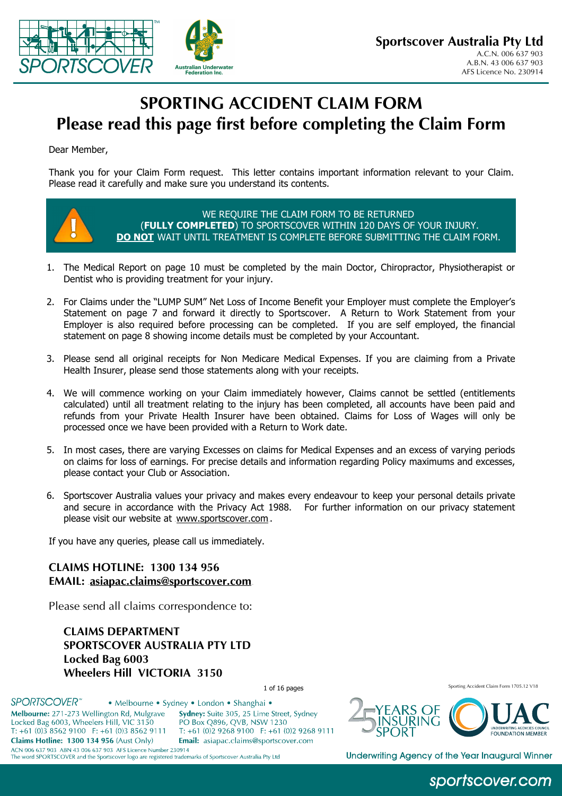

# **SPORTING ACCIDENT CLAIM FORM Please read this page first before completing the Claim Form**

Dear Member,

Thank you for your Claim Form request. This letter contains important information relevant to your Claim. Please read it carefully and make sure you understand its contents.



WE REQUIRE THE CLAIM FORM TO BE RETURNED (**FULLY COMPLETED**) TO SPORTSCOVER WITHIN 120 DAYS OF YOUR INJURY. **DO NOT** WAIT UNTIL TREATMENT IS COMPLETE BEFORE SUBMITTING THE CLAIM FORM.

- 1. The Medical Report on page 10 must be completed by the main Doctor, Chiropractor, Physiotherapist or Dentist who is providing treatment for your injury.
- 2. For Claims under the "LUMP SUM" Net Loss of Income Benefit your Employer must complete the Employer's Statement on page 7 and forward it directly to Sportscover. A Return to Work Statement from your Employer is also required before processing can be completed. If you are self employed, the financial statement on page 8 showing income details must be completed by your Accountant.
- 3. Please send all original receipts for Non Medicare Medical Expenses. If you are claiming from a Private Health Insurer, please send those statements along with your receipts.
- 4. We will commence working on your Claim immediately however, Claims cannot be settled (entitlements calculated) until all treatment relating to the injury has been completed, all accounts have been paid and refunds from your Private Health Insurer have been obtained. Claims for Loss of Wages will only be processed once we have been provided with a Return to Work date.
- 5. In most cases, there are varying Excesses on claims for Medical Expenses and an excess of varying periods on claims for loss of earnings. For precise details and information regarding Policy maximums and excesses, please contact your Club or Association.
- 6. Sportscover Australia values your privacy and makes every endeavour to keep your personal details private and secure in accordance with the Privacy Act 1988. For further information on our privacy statement please visit our website at www.sportscover.com.

If you have any queries, please call us immediately.

**CLAIMS HOTLINE: 1300 134 956 EMAIL: asiapac.claims@sportscover.com** 

Please send all claims correspondence to:

**CLAIMS DEPARTMENT SPORTSCOVER AUSTRALIA PTY LTD Locked Bag 6003 Wheelers Hill VICTORIA 3150** 

1 of 16 pages Sporting Accident Claim Form 1705.12 V18

**SPORTSCOVER<sup>®</sup>** · Melbourne · Sydney · London · Shanghai · Melbourne: 271-273 Wellington Rd, Mulgrave Sydney: Suite 305, 25 Lime Street, Sydney Locked Bag 6003, Wheelers Hill, VIC 3150 PO Box O896, OVB, NSW 1230 T: +61 (0)3 8562 9100 F: +61 (0)3 8562 9111 T: +61 (0)2 9268 9100 F: +61 (0)2 9268 9111 Claims Hotline: 1300 134 956 (Aust Only) Email: asiapac.claims@sportscover.com ACN 006 637 903 ABN 43 006 637 903 AFS Licence Number 230914 The word SPORTSCOVER and the Sportscover logo are registered trademarks of Sportscover Australia Pty Ltd



Underwriting Agency of the Year Inaugural Winner

## sportscover.com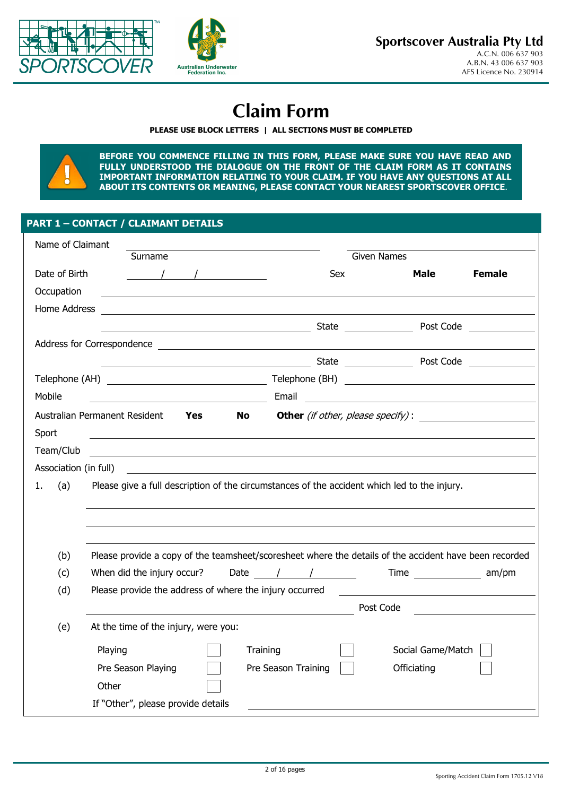



# **Claim Form**

#### **PLEASE USE BLOCK LETTERS | ALL SECTIONS MUST BE COMPLETED**



**BEFORE YOU COMMENCE FILLING IN THIS FORM, PLEASE MAKE SURE YOU HAVE READ AND FULLY UNDERSTOOD THE DIALOGUE ON THE FRONT OF THE CLAIM FORM AS IT CONTAINS IMPORTANT INFORMATION RELATING TO YOUR CLAIM. IF YOU HAVE ANY QUESTIONS AT ALL ABOUT ITS CONTENTS OR MEANING, PLEASE CONTACT YOUR NEAREST SPORTSCOVER OFFICE**.

### **PART 1 – CONTACT / CLAIMANT DETAILS**

| Name of Claimant      |                                                                                                                                                                                                                                                                                                                                                                                                                                                                                                                                                                                     |                                          |                                                                                                                      |               |
|-----------------------|-------------------------------------------------------------------------------------------------------------------------------------------------------------------------------------------------------------------------------------------------------------------------------------------------------------------------------------------------------------------------------------------------------------------------------------------------------------------------------------------------------------------------------------------------------------------------------------|------------------------------------------|----------------------------------------------------------------------------------------------------------------------|---------------|
|                       | Surname                                                                                                                                                                                                                                                                                                                                                                                                                                                                                                                                                                             |                                          | <b>Given Names</b>                                                                                                   |               |
| Date of Birth         | $\begin{array}{ccc} \begin{array}{ccc} \end{array} & \begin{array}{ccc} \end{array} & \begin{array}{ccc} \end{array} & \begin{array}{ccc} \end{array} & \begin{array}{ccc} \end{array} & \begin{array}{ccc} \end{array} & \begin{array}{ccc} \end{array} & \begin{array}{ccc} \end{array} & \begin{array}{ccc} \end{array} & \begin{array}{ccc} \end{array} & \begin{array}{ccc} \end{array} & \begin{array}{ccc} \end{array} & \begin{array}{ccc} \end{array} & \begin{array}{ccc} \end{array} & \begin{array}{ccc} \end{array} & \begin{array}{ccc} \end{array} & \begin{array}{$ | Sex                                      | Male                                                                                                                 | <b>Female</b> |
| Occupation            |                                                                                                                                                                                                                                                                                                                                                                                                                                                                                                                                                                                     |                                          |                                                                                                                      |               |
| Home Address          |                                                                                                                                                                                                                                                                                                                                                                                                                                                                                                                                                                                     |                                          |                                                                                                                      |               |
|                       | <u>State</u> State State State State State State State State State State State State State State State State State State State State State State State State State State State State State State State State State State State Stat                                                                                                                                                                                                                                                                                                                                                 |                                          | Post Code                                                                                                            |               |
|                       |                                                                                                                                                                                                                                                                                                                                                                                                                                                                                                                                                                                     |                                          |                                                                                                                      |               |
|                       |                                                                                                                                                                                                                                                                                                                                                                                                                                                                                                                                                                                     |                                          | State <u>Code</u> Post Code                                                                                          |               |
|                       |                                                                                                                                                                                                                                                                                                                                                                                                                                                                                                                                                                                     |                                          |                                                                                                                      |               |
| Mobile                | <u> 1980 - Johann Barn, mars ann an t-Amhainn an t-Amhainn an t-Amhainn an t-Amhainn an t-Amhainn an t-Amhainn an</u>                                                                                                                                                                                                                                                                                                                                                                                                                                                               | Email                                    | <u> 1980 - Jan Samuel Barbara, margaret e populari e populari e populari e populari e populari e populari e popu</u> |               |
|                       | Australian Permanent Resident<br>Yes<br><b>No</b>                                                                                                                                                                                                                                                                                                                                                                                                                                                                                                                                   | <b>Other</b> (if other, please specify): |                                                                                                                      |               |
| Sport                 |                                                                                                                                                                                                                                                                                                                                                                                                                                                                                                                                                                                     |                                          |                                                                                                                      |               |
| Team/Club             | <u> 1989 - Johann Barbara, martxa alemaniar argametria (h. 1989).</u>                                                                                                                                                                                                                                                                                                                                                                                                                                                                                                               |                                          |                                                                                                                      |               |
| Association (in full) | the control of the control of the control of the control of the control of the control of the control of the control of the control of the control of the control of the control of the control of the control of the control                                                                                                                                                                                                                                                                                                                                                       |                                          |                                                                                                                      |               |
| (a)<br>1.             | Please give a full description of the circumstances of the accident which led to the injury.                                                                                                                                                                                                                                                                                                                                                                                                                                                                                        |                                          |                                                                                                                      |               |
|                       |                                                                                                                                                                                                                                                                                                                                                                                                                                                                                                                                                                                     |                                          |                                                                                                                      |               |
|                       |                                                                                                                                                                                                                                                                                                                                                                                                                                                                                                                                                                                     |                                          |                                                                                                                      |               |
|                       |                                                                                                                                                                                                                                                                                                                                                                                                                                                                                                                                                                                     |                                          |                                                                                                                      |               |
| (b)                   | Please provide a copy of the teamsheet/scoresheet where the details of the accident have been recorded                                                                                                                                                                                                                                                                                                                                                                                                                                                                              |                                          |                                                                                                                      |               |
| (c)                   | When did the injury occur?                                                                                                                                                                                                                                                                                                                                                                                                                                                                                                                                                          | Date / / Time am/pm                      |                                                                                                                      |               |
| (d)                   | Please provide the address of where the injury occurred                                                                                                                                                                                                                                                                                                                                                                                                                                                                                                                             |                                          |                                                                                                                      |               |
|                       |                                                                                                                                                                                                                                                                                                                                                                                                                                                                                                                                                                                     |                                          | Post Code                                                                                                            |               |
| (e)                   | At the time of the injury, were you:                                                                                                                                                                                                                                                                                                                                                                                                                                                                                                                                                |                                          |                                                                                                                      |               |
|                       | Playing                                                                                                                                                                                                                                                                                                                                                                                                                                                                                                                                                                             | Training                                 | Social Game/Match                                                                                                    |               |
|                       | Pre Season Playing                                                                                                                                                                                                                                                                                                                                                                                                                                                                                                                                                                  | Pre Season Training                      | Officiating                                                                                                          |               |
|                       | Other                                                                                                                                                                                                                                                                                                                                                                                                                                                                                                                                                                               |                                          |                                                                                                                      |               |
|                       | If "Other", please provide details                                                                                                                                                                                                                                                                                                                                                                                                                                                                                                                                                  |                                          |                                                                                                                      |               |
|                       |                                                                                                                                                                                                                                                                                                                                                                                                                                                                                                                                                                                     |                                          |                                                                                                                      |               |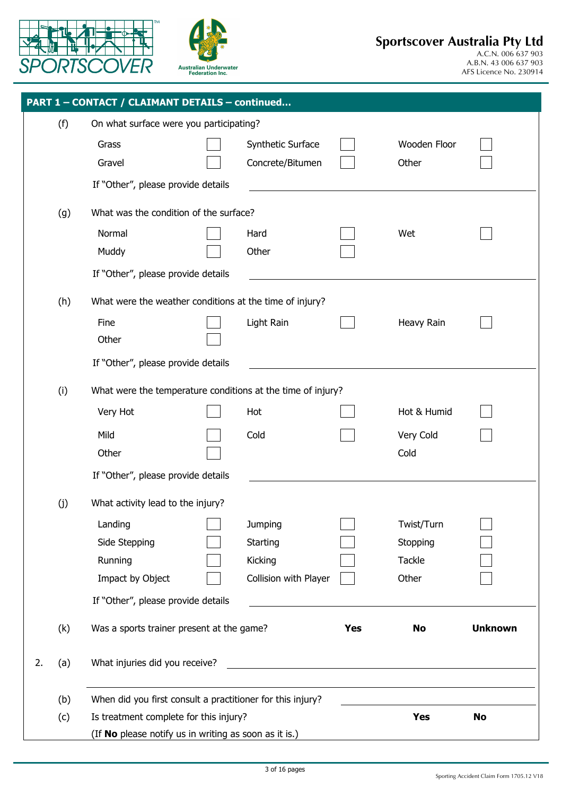



|    |     | PART 1 - CONTACT / CLAIMANT DETAILS - continued             |                       |            |              |                |
|----|-----|-------------------------------------------------------------|-----------------------|------------|--------------|----------------|
|    | (f) | On what surface were you participating?                     |                       |            |              |                |
|    |     | Grass                                                       | Synthetic Surface     |            | Wooden Floor |                |
|    |     | Gravel                                                      | Concrete/Bitumen      |            | Other        |                |
|    |     | If "Other", please provide details                          |                       |            |              |                |
|    | (g) | What was the condition of the surface?                      |                       |            |              |                |
|    |     | Normal                                                      | Hard                  |            | Wet          |                |
|    |     | Muddy                                                       | Other                 |            |              |                |
|    |     | If "Other", please provide details                          |                       |            |              |                |
|    | (h) | What were the weather conditions at the time of injury?     |                       |            |              |                |
|    |     | Fine                                                        | Light Rain            |            | Heavy Rain   |                |
|    |     | Other                                                       |                       |            |              |                |
|    |     | If "Other", please provide details                          |                       |            |              |                |
|    | (i) | What were the temperature conditions at the time of injury? |                       |            |              |                |
|    |     | Very Hot                                                    | Hot                   |            | Hot & Humid  |                |
|    |     | Mild                                                        | Cold                  |            | Very Cold    |                |
|    |     | Other                                                       |                       |            | Cold         |                |
|    |     | If "Other", please provide details                          |                       |            |              |                |
|    | (j) | What activity lead to the injury?                           |                       |            |              |                |
|    |     | Landing                                                     | Jumping               |            | Twist/Turn   |                |
|    |     | Side Stepping                                               | Starting              |            | Stopping     |                |
|    |     | Running                                                     | Kicking               |            | Tackle       |                |
|    |     | Impact by Object                                            | Collision with Player |            | Other        |                |
|    |     | If "Other", please provide details                          |                       |            |              |                |
|    | (k) | Was a sports trainer present at the game?                   |                       | <b>Yes</b> | No           | <b>Unknown</b> |
| 2. | (a) | What injuries did you receive?                              |                       |            |              |                |
|    |     |                                                             |                       |            |              |                |
|    | (b) | When did you first consult a practitioner for this injury?  |                       |            |              |                |
|    | (c) | Is treatment complete for this injury?                      |                       |            | <b>Yes</b>   | <b>No</b>      |
|    |     | (If No please notify us in writing as soon as it is.)       |                       |            |              |                |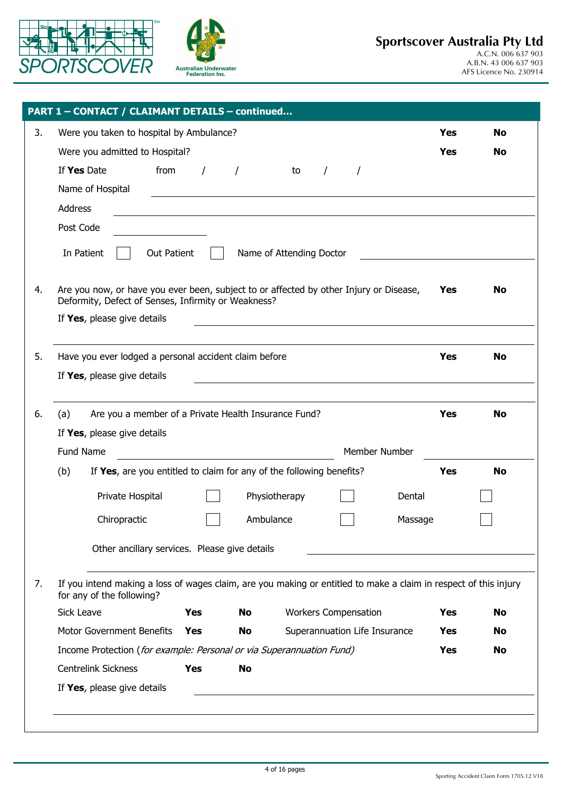



| Were you taken to hospital by Ambulance?                                                                                                      |            |           |                          |          |                               |         | <b>Yes</b> | <b>No</b> |
|-----------------------------------------------------------------------------------------------------------------------------------------------|------------|-----------|--------------------------|----------|-------------------------------|---------|------------|-----------|
| Were you admitted to Hospital?                                                                                                                |            |           |                          |          |                               |         | <b>Yes</b> | No        |
| If Yes Date<br>from                                                                                                                           | $\prime$   |           | to                       | $\prime$ | $\prime$                      |         |            |           |
| Name of Hospital                                                                                                                              |            |           |                          |          |                               |         |            |           |
| Address                                                                                                                                       |            |           |                          |          |                               |         |            |           |
| Post Code                                                                                                                                     |            |           |                          |          |                               |         |            |           |
| In Patient<br><b>Out Patient</b>                                                                                                              |            |           | Name of Attending Doctor |          |                               |         |            |           |
| Are you now, or have you ever been, subject to or affected by other Injury or Disease,<br>Deformity, Defect of Senses, Infirmity or Weakness? |            |           |                          |          |                               |         | Yes        | No        |
| If Yes, please give details                                                                                                                   |            |           |                          |          |                               |         |            |           |
| Have you ever lodged a personal accident claim before                                                                                         |            |           |                          |          |                               |         | Yes        | <b>No</b> |
| If Yes, please give details                                                                                                                   |            |           |                          |          |                               |         |            |           |
|                                                                                                                                               |            |           |                          |          |                               |         |            |           |
| Are you a member of a Private Health Insurance Fund?<br>(a)                                                                                   |            |           |                          |          |                               |         | <b>Yes</b> | <b>No</b> |
| If Yes, please give details                                                                                                                   |            |           |                          |          |                               |         |            |           |
| Fund Name                                                                                                                                     |            |           |                          |          | Member Number                 |         |            |           |
| (b)<br>If Yes, are you entitled to claim for any of the following benefits?                                                                   |            |           |                          |          |                               |         | <b>Yes</b> | <b>No</b> |
| Private Hospital                                                                                                                              |            |           | Physiotherapy            |          |                               | Dental  |            |           |
| Chiropractic                                                                                                                                  |            |           | Ambulance                |          |                               | Massage |            |           |
| Other ancillary services. Please give details                                                                                                 |            |           |                          |          |                               |         |            |           |
| If you intend making a loss of wages claim, are you making or entitled to make a claim in respect of this injury<br>for any of the following? |            |           |                          |          |                               |         |            |           |
| <b>Sick Leave</b>                                                                                                                             | Yes        | <b>No</b> |                          |          | <b>Workers Compensation</b>   |         | Yes        | No        |
| <b>Motor Government Benefits</b>                                                                                                              | Yes        | No        |                          |          | Superannuation Life Insurance |         | Yes        | No        |
| Income Protection (for example: Personal or via Superannuation Fund)                                                                          |            |           |                          |          |                               |         | Yes        | No        |
| <b>Centrelink Sickness</b>                                                                                                                    | <b>Yes</b> | <b>No</b> |                          |          |                               |         |            |           |
| If Yes, please give details                                                                                                                   |            |           |                          |          |                               |         |            |           |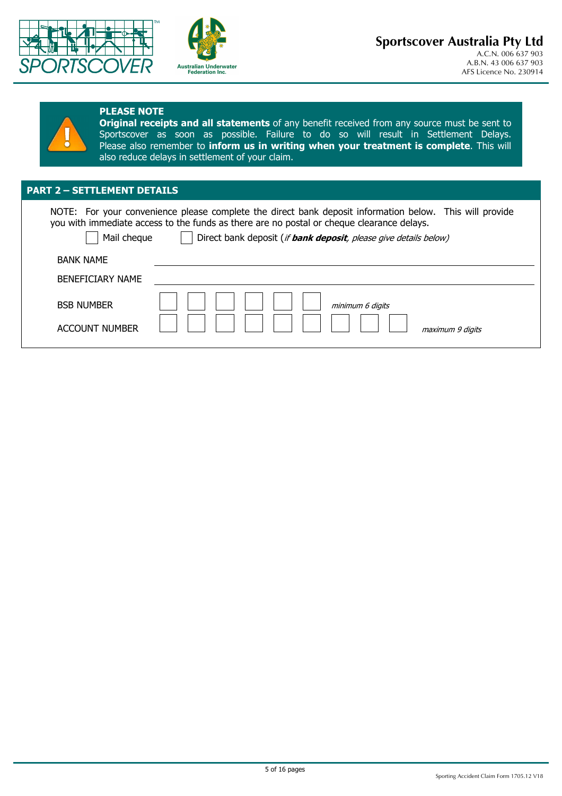



#### **PLEASE NOTE**

**Original receipts and all statements** of any benefit received from any source must be sent to Sportscover as soon as possible. Failure to do so will result in Settlement Delays. Please also remember to **inform us in writing when your treatment is complete**. This will also reduce delays in settlement of your claim.

### **PART 2 – SETTLEMENT DETAILS**

NOTE: For your convenience please complete the direct bank deposit information below. This will provide you with immediate access to the funds as there are no postal or cheque clearance delays.

Mail cheque  $\Box$  Direct bank deposit (*if bank deposit, please give details below)* 

| <b>BANK NAME</b><br><b>BENEFICIARY NAME</b> |                  |
|---------------------------------------------|------------------|
| <b>BSB NUMBER</b>                           | minimum 6 digits |
| <b>ACCOUNT NUMBER</b>                       | maximum 9 digits |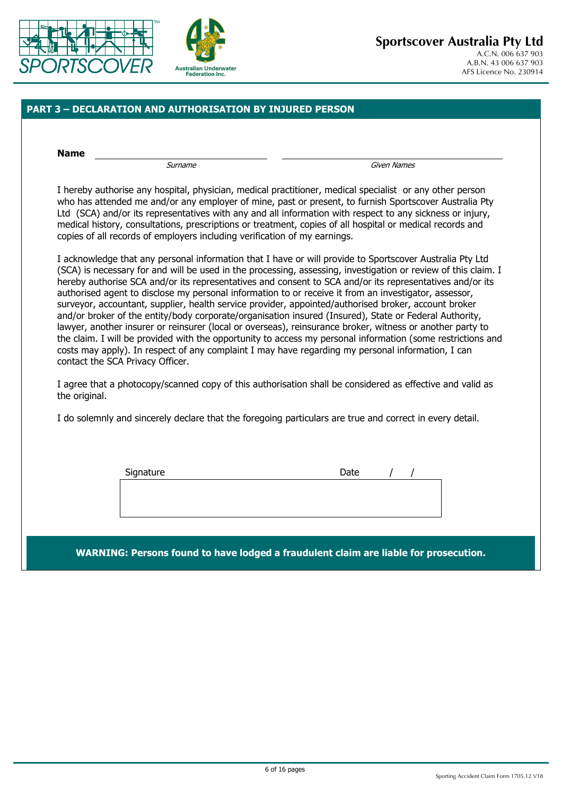



### **PART 3 – DECLARATION AND AUTHORISATION BY INJURED PERSON**

**Name** 

Surname Given Names

I hereby authorise any hospital, physician, medical practitioner, medical specialist or any other person who has attended me and/or any employer of mine, past or present, to furnish Sportscover Australia Pty Ltd (SCA) and/or its representatives with any and all information with respect to any sickness or injury, medical history, consultations, prescriptions or treatment, copies of all hospital or medical records and copies of all records of employers including verification of my earnings.

I acknowledge that any personal information that I have or will provide to Sportscover Australia Pty Ltd (SCA) is necessary for and will be used in the processing, assessing, investigation or review of this claim. I hereby authorise SCA and/or its representatives and consent to SCA and/or its representatives and/or its authorised agent to disclose my personal information to or receive it from an investigator, assessor, surveyor, accountant, supplier, health service provider, appointed/authorised broker, account broker and/or broker of the entity/body corporate/organisation insured (Insured), State or Federal Authority, lawyer, another insurer or reinsurer (local or overseas), reinsurance broker, witness or another party to the claim. I will be provided with the opportunity to access my personal information (some restrictions and costs may apply). In respect of any complaint I may have regarding my personal information, I can contact the SCA Privacy Officer.

I agree that a photocopy/scanned copy of this authorisation shall be considered as effective and valid as the original.

I do solemnly and sincerely declare that the foregoing particulars are true and correct in every detail.

| Signature | Date |  |
|-----------|------|--|
|           |      |  |
|           |      |  |
|           |      |  |
|           |      |  |

**WARNING: Persons found to have lodged a fraudulent claim are liable for prosecution.**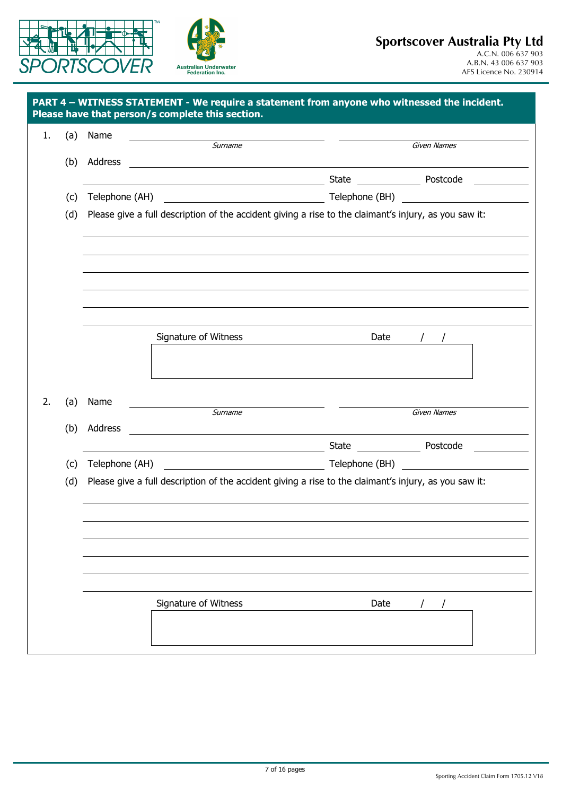



| Surname<br><b>Given Names</b><br>Address<br><u> 1989 - Johann Stein, fransk politik (f. 1989)</u><br>Please give a full description of the accident giving a rise to the claimant's injury, as you saw it:<br>Signature of Witness<br>Date<br>Name<br>Surname<br>Given Names<br><u> 1989 - Andrea Station Barbara, amerikan per</u><br>(b) Address<br><u> 1989 - Johann Barn, mars ann an t-Amhain Aonaichte ann an t-Aonaichte ann an t-Aonaichte ann an t-Aonaichte a</u> | (a) | Name |  |  |
|-----------------------------------------------------------------------------------------------------------------------------------------------------------------------------------------------------------------------------------------------------------------------------------------------------------------------------------------------------------------------------------------------------------------------------------------------------------------------------|-----|------|--|--|
|                                                                                                                                                                                                                                                                                                                                                                                                                                                                             |     |      |  |  |
|                                                                                                                                                                                                                                                                                                                                                                                                                                                                             | (b) |      |  |  |
|                                                                                                                                                                                                                                                                                                                                                                                                                                                                             |     |      |  |  |
|                                                                                                                                                                                                                                                                                                                                                                                                                                                                             | (c) |      |  |  |
|                                                                                                                                                                                                                                                                                                                                                                                                                                                                             | (d) |      |  |  |
|                                                                                                                                                                                                                                                                                                                                                                                                                                                                             |     |      |  |  |
|                                                                                                                                                                                                                                                                                                                                                                                                                                                                             |     |      |  |  |
|                                                                                                                                                                                                                                                                                                                                                                                                                                                                             |     |      |  |  |
|                                                                                                                                                                                                                                                                                                                                                                                                                                                                             |     |      |  |  |
|                                                                                                                                                                                                                                                                                                                                                                                                                                                                             |     |      |  |  |
|                                                                                                                                                                                                                                                                                                                                                                                                                                                                             |     |      |  |  |
|                                                                                                                                                                                                                                                                                                                                                                                                                                                                             |     |      |  |  |
|                                                                                                                                                                                                                                                                                                                                                                                                                                                                             |     |      |  |  |
|                                                                                                                                                                                                                                                                                                                                                                                                                                                                             |     |      |  |  |
|                                                                                                                                                                                                                                                                                                                                                                                                                                                                             | (a) |      |  |  |
|                                                                                                                                                                                                                                                                                                                                                                                                                                                                             |     |      |  |  |
|                                                                                                                                                                                                                                                                                                                                                                                                                                                                             |     |      |  |  |
| Telephone (AH) Telephone (BH) Telephone (BH)                                                                                                                                                                                                                                                                                                                                                                                                                                | (c) |      |  |  |
| Please give a full description of the accident giving a rise to the claimant's injury, as you saw it:                                                                                                                                                                                                                                                                                                                                                                       | (d) |      |  |  |
|                                                                                                                                                                                                                                                                                                                                                                                                                                                                             |     |      |  |  |
|                                                                                                                                                                                                                                                                                                                                                                                                                                                                             |     |      |  |  |
|                                                                                                                                                                                                                                                                                                                                                                                                                                                                             |     |      |  |  |
|                                                                                                                                                                                                                                                                                                                                                                                                                                                                             |     |      |  |  |
|                                                                                                                                                                                                                                                                                                                                                                                                                                                                             |     |      |  |  |
|                                                                                                                                                                                                                                                                                                                                                                                                                                                                             |     |      |  |  |
| Date                                                                                                                                                                                                                                                                                                                                                                                                                                                                        |     |      |  |  |
| Signature of Witness                                                                                                                                                                                                                                                                                                                                                                                                                                                        |     |      |  |  |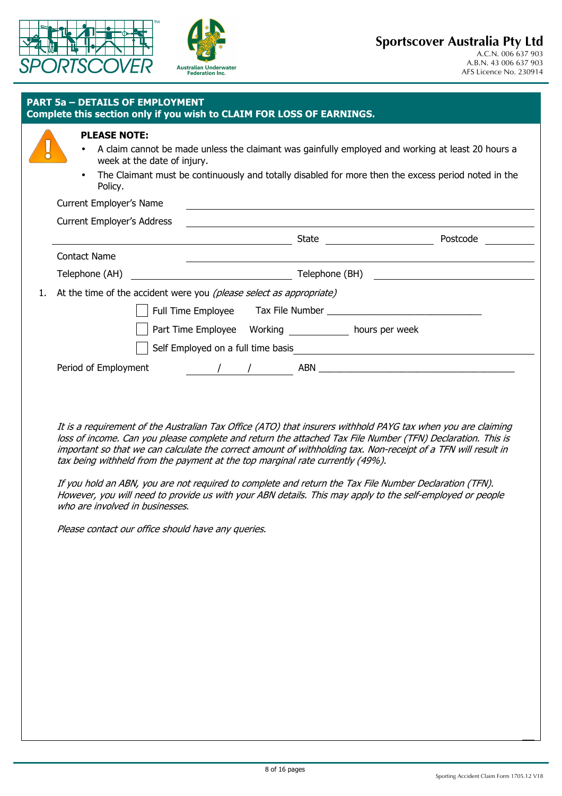



| <b>PLEASE NOTE:</b><br>$\bullet$<br>week at the date of injury. | A claim cannot be made unless the claimant was gainfully employed and working at least 20 hours a                                                                                                                                                                                                                                                                                    |          |
|-----------------------------------------------------------------|--------------------------------------------------------------------------------------------------------------------------------------------------------------------------------------------------------------------------------------------------------------------------------------------------------------------------------------------------------------------------------------|----------|
| $\bullet$<br>Policy.                                            | The Claimant must be continuously and totally disabled for more then the excess period noted in the                                                                                                                                                                                                                                                                                  |          |
| Current Employer's Name                                         | <u> 1989 - Johann Stoff, deutscher Stoffen und der Stoffen und der Stoffen und der Stoffen und der Stoffen und der</u>                                                                                                                                                                                                                                                               |          |
| <b>Current Employer's Address</b>                               | <u> 1989 - Johann Stoff, deutscher Stoffen und der Stoffen und der Stoffen und der Stoffen und der Stoffen und der</u>                                                                                                                                                                                                                                                               |          |
|                                                                 | State ________________________<br><u> 2000 - Andrea Andrew Maria (h. 1878).</u>                                                                                                                                                                                                                                                                                                      | Postcode |
| <b>Contact Name</b>                                             |                                                                                                                                                                                                                                                                                                                                                                                      |          |
| Telephone (AH)                                                  | $\overline{C}$ $\overline{C}$ $\overline{C}$ $\overline{C}$ $\overline{C}$ $\overline{C}$ $\overline{C}$ $\overline{C}$ $\overline{C}$ $\overline{C}$ $\overline{C}$ $\overline{C}$ $\overline{C}$ $\overline{C}$ $\overline{C}$ $\overline{C}$ $\overline{C}$ $\overline{C}$ $\overline{C}$ $\overline{C}$ $\overline{C}$ $\overline{C}$ $\overline{C}$ $\overline{C}$ $\overline{$ |          |
|                                                                 | At the time of the accident were you (please select as appropriate)                                                                                                                                                                                                                                                                                                                  |          |
|                                                                 |                                                                                                                                                                                                                                                                                                                                                                                      |          |
|                                                                 |                                                                                                                                                                                                                                                                                                                                                                                      |          |
|                                                                 |                                                                                                                                                                                                                                                                                                                                                                                      |          |
|                                                                 |                                                                                                                                                                                                                                                                                                                                                                                      |          |

It is a requirement of the Australian Tax Office (ATO) that insurers withhold PAYG tax when you are claiming loss of income. Can you please complete and return the attached Tax File Number (TFN) Declaration. This is important so that we can calculate the correct amount of withholding tax. Non-receipt of a TFN will result in tax being withheld from the payment at the top marginal rate currently (49%).

If you hold an ABN, you are not required to complete and return the Tax File Number Declaration (TFN). However, you will need to provide us with your ABN details. This may apply to the self-employed or people who are involved in businesses.

Please contact our office should have any queries.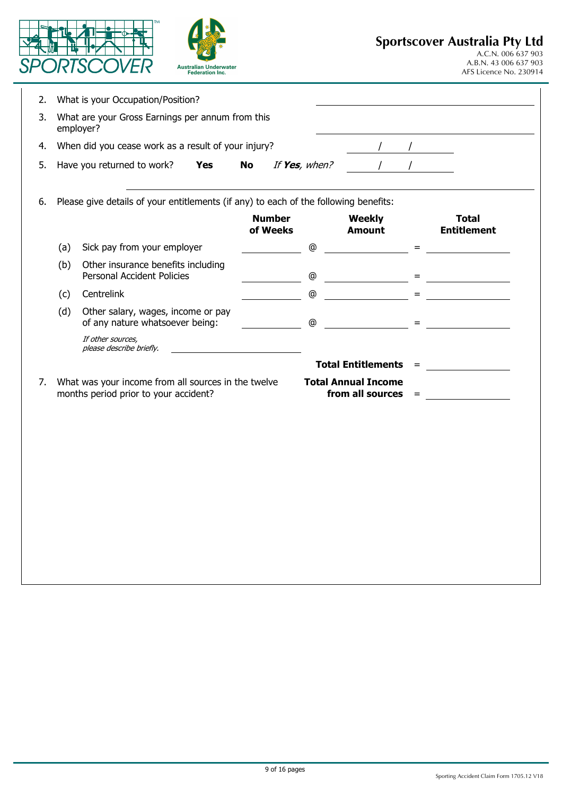|    |     | <b>Australian Underwater</b><br><b>Federation Inc.</b>                                       |           |                           |               |                                                       | <b>Sportscover Australia Pty Ltd</b><br>A.C.N. 006 637 903<br>A.B.N. 43 006 637 903<br>AFS Licence No. 230914 |
|----|-----|----------------------------------------------------------------------------------------------|-----------|---------------------------|---------------|-------------------------------------------------------|---------------------------------------------------------------------------------------------------------------|
| 2. |     | What is your Occupation/Position?                                                            |           |                           |               |                                                       |                                                                                                               |
| 3. |     | What are your Gross Earnings per annum from this<br>employer?                                |           |                           |               |                                                       |                                                                                                               |
| 4. |     | When did you cease work as a result of your injury?                                          |           |                           |               |                                                       |                                                                                                               |
| 5. |     | Have you returned to work?<br><b>Yes</b>                                                     | <b>No</b> |                           | If Yes, when? |                                                       |                                                                                                               |
| 6. |     | Please give details of your entitlements (if any) to each of the following benefits:         |           |                           |               |                                                       |                                                                                                               |
|    |     |                                                                                              |           | <b>Number</b><br>of Weeks |               | <b>Weekly</b><br><b>Amount</b>                        | <b>Total</b><br><b>Entitlement</b>                                                                            |
|    | (a) | Sick pay from your employer                                                                  |           |                           | @             |                                                       | $=$                                                                                                           |
|    | (b) | Other insurance benefits including<br><b>Personal Accident Policies</b>                      |           |                           | ⊚             |                                                       |                                                                                                               |
|    | (c) | Centrelink                                                                                   |           |                           | ⊚             |                                                       | $=$                                                                                                           |
|    | (d) | Other salary, wages, income or pay<br>of any nature whatsoever being:                        |           |                           | $^\copyright$ |                                                       |                                                                                                               |
|    |     | If other sources,<br>please describe briefly.                                                |           |                           |               |                                                       |                                                                                                               |
|    |     |                                                                                              |           |                           |               | <b>Total Entitlements</b><br>$=$                      |                                                                                                               |
| 7. |     | What was your income from all sources in the twelve<br>months period prior to your accident? |           |                           |               | <b>Total Annual Income</b><br>from all sources<br>$=$ |                                                                                                               |
|    |     |                                                                                              |           |                           |               |                                                       |                                                                                                               |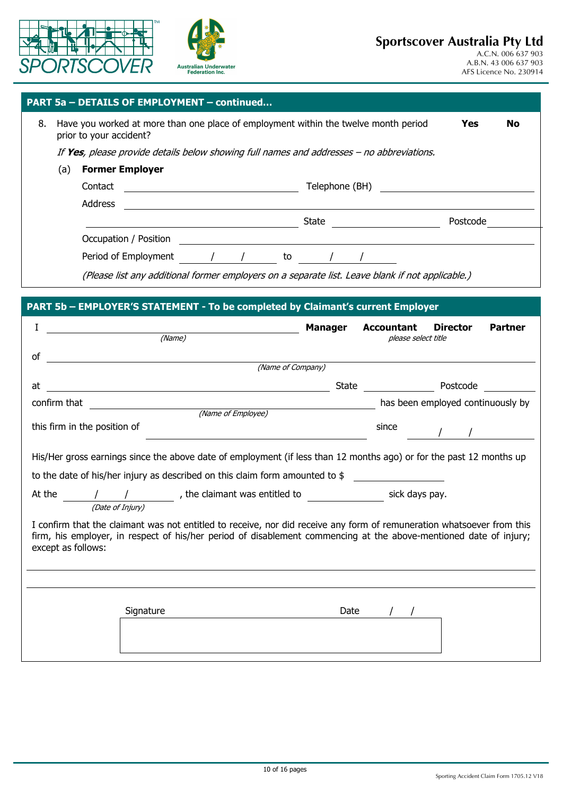



| PART 5a – DETAILS OF EMPLOYMENT – continued \ |  |
|-----------------------------------------------|--|
|-----------------------------------------------|--|

| 8. |     | prior to your accident?                                                                          | Have you worked at more than one place of employment within the twelve month period<br>Yes |          |  |  |  |  |
|----|-----|--------------------------------------------------------------------------------------------------|--------------------------------------------------------------------------------------------|----------|--|--|--|--|
|    |     | If Yes, please provide details below showing full names and addresses - no abbreviations.        |                                                                                            |          |  |  |  |  |
|    | (a) | <b>Former Employer</b>                                                                           |                                                                                            |          |  |  |  |  |
|    |     | Contact                                                                                          | Telephone (BH)                                                                             |          |  |  |  |  |
|    |     | Address                                                                                          |                                                                                            |          |  |  |  |  |
|    |     | State                                                                                            |                                                                                            | Postcode |  |  |  |  |
|    |     | Occupation / Position                                                                            |                                                                                            |          |  |  |  |  |
|    |     | Period of Employment<br>to                                                                       |                                                                                            |          |  |  |  |  |
|    |     | (Please list any additional former employers on a separate list. Leave blank if not applicable.) |                                                                                            |          |  |  |  |  |

**PART 5b – EMPLOYER'S STATEMENT - To be completed by Claimant's current Employer** 

| Ι<br>(Name)                                                                                                                                                                                                                                                       | <b>Manager</b> | Accountant<br>please select title | <b>Director</b> | <b>Partner</b> |
|-------------------------------------------------------------------------------------------------------------------------------------------------------------------------------------------------------------------------------------------------------------------|----------------|-----------------------------------|-----------------|----------------|
| οf                                                                                                                                                                                                                                                                |                |                                   |                 |                |
| <u> 1989 - Andrea Andrew Maria (b. 1989)</u><br>(Name of Company)                                                                                                                                                                                                 |                |                                   |                 |                |
| at<br><u> 1980 - Jan Samuel Barbara, martin di sebagai personal di sebagai personal di sebagai personal di sebagai per</u>                                                                                                                                        |                | State Postcode                    |                 |                |
| Thas been employed continuously by (Name of Employee) and The Continuously by the Continuously by<br>confirm that                                                                                                                                                 |                |                                   |                 |                |
|                                                                                                                                                                                                                                                                   |                |                                   |                 |                |
| this firm in the position of                                                                                                                                                                                                                                      |                | since                             |                 |                |
| His/Her gross earnings since the above date of employment (if less than 12 months ago) or for the past 12 months up<br>to the date of his/her injury as described on this claim form amounted to $\frac{1}{2}$                                                    |                |                                   |                 |                |
| At the $\frac{1}{\sqrt{2}}$ / $\frac{1}{\sqrt{2}}$ , the claimant was entitled to $\frac{1}{\sqrt{2}}$ sick days pay.<br>(Date of Injury)                                                                                                                         |                |                                   |                 |                |
| I confirm that the claimant was not entitled to receive, nor did receive any form of remuneration whatsoever from this<br>firm, his employer, in respect of his/her period of disablement commencing at the above-mentioned date of injury;<br>except as follows: |                |                                   |                 |                |
|                                                                                                                                                                                                                                                                   |                |                                   |                 |                |
| Signature                                                                                                                                                                                                                                                         |                | Date $/$ /                        |                 |                |
|                                                                                                                                                                                                                                                                   |                |                                   |                 |                |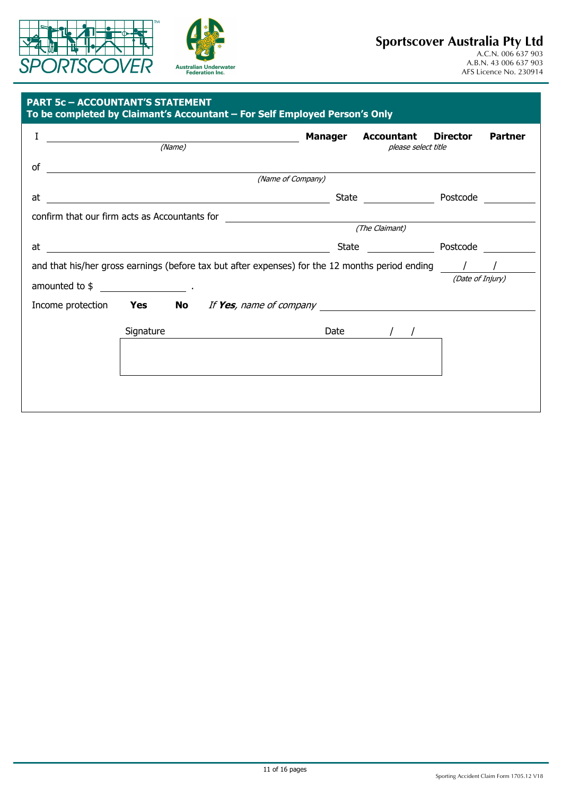



## **Sportscover Australia Pty Ltd**

#### **PART 5c – ACCOUNTANT'S STATEMENT**

| I                                                                                                                           |           | (Name)                                                                                                                                                                                                                                    | Manager | <b>Accountant</b>    | <b>Director</b>  | <b>Partner</b> |
|-----------------------------------------------------------------------------------------------------------------------------|-----------|-------------------------------------------------------------------------------------------------------------------------------------------------------------------------------------------------------------------------------------------|---------|----------------------|------------------|----------------|
|                                                                                                                             |           |                                                                                                                                                                                                                                           |         | please select title  |                  |                |
| οf<br><u> 1989 - Johann Harry Harry Harry Harry Harry Harry Harry Harry Harry Harry Harry Harry Harry Harry Harry Harry</u> |           |                                                                                                                                                                                                                                           |         |                      |                  |                |
|                                                                                                                             |           | (Name of Company)                                                                                                                                                                                                                         |         |                      |                  |                |
| at                                                                                                                          |           |                                                                                                                                                                                                                                           |         | State Postcode       |                  |                |
|                                                                                                                             |           | confirm that our firm acts as Accountants for __________________________________                                                                                                                                                          |         |                      |                  |                |
|                                                                                                                             |           |                                                                                                                                                                                                                                           |         | (The Claimant)       |                  |                |
| at                                                                                                                          |           | <u> 1980 - Jan Stein, amerikansk politiker (d. 1980)</u>                                                                                                                                                                                  |         | State <u>_______</u> | Postcode         |                |
|                                                                                                                             |           | and that his/her gross earnings (before tax but after expenses) for the 12 months period ending $\frac{1}{\sqrt{2}}$                                                                                                                      |         |                      |                  |                |
|                                                                                                                             |           |                                                                                                                                                                                                                                           |         |                      | (Date of Injury) |                |
|                                                                                                                             |           | Income protection <b>Yes</b> No If Yes, name of company <u>Incomes and the set of the set of the set of the set of the set of the set of the set of the set of the set of the set of the set of the set of the set of the set of the </u> |         |                      |                  |                |
|                                                                                                                             | Signature |                                                                                                                                                                                                                                           | Date    |                      |                  |                |
|                                                                                                                             |           |                                                                                                                                                                                                                                           |         |                      |                  |                |
|                                                                                                                             |           |                                                                                                                                                                                                                                           |         |                      |                  |                |
|                                                                                                                             |           |                                                                                                                                                                                                                                           |         |                      |                  |                |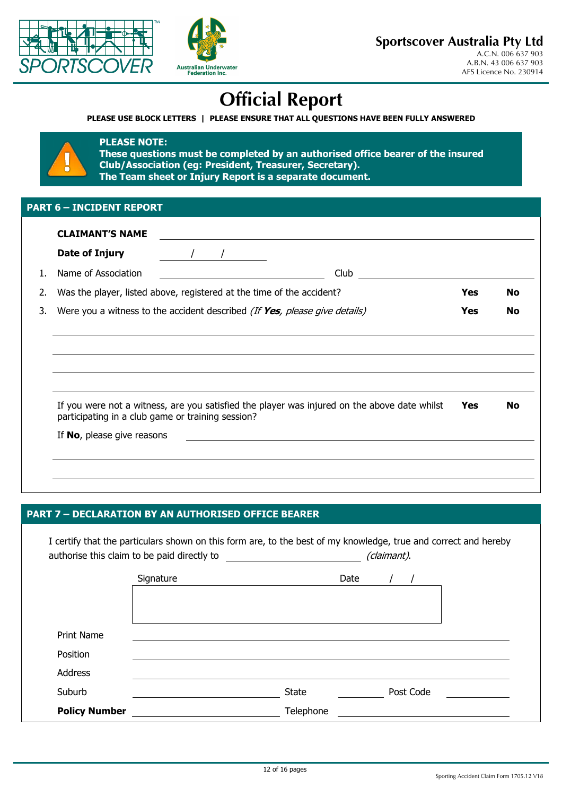



# **Official Report**

**PLEASE USE BLOCK LETTERS | PLEASE ENSURE THAT ALL QUESTIONS HAVE BEEN FULLY ANSWERED** 



### **PLEASE NOTE:**

**These questions must be completed by an authorised office bearer of the insured Club/Association (eg: President, Treasurer, Secretary). The Team sheet or Injury Report is a separate document.**

### **PART 6 – INCIDENT REPORT**

|    | Date of Injury                                                                                                                                    |                                                                       |      |            |     |  |
|----|---------------------------------------------------------------------------------------------------------------------------------------------------|-----------------------------------------------------------------------|------|------------|-----|--|
| 1. | Name of Association                                                                                                                               |                                                                       | Club |            |     |  |
| 2. |                                                                                                                                                   | Was the player, listed above, registered at the time of the accident? |      | <b>Yes</b> | No. |  |
| 3. | Were you a witness to the accident described (If Yes, please give details)                                                                        |                                                                       |      |            |     |  |
|    |                                                                                                                                                   |                                                                       |      |            |     |  |
|    |                                                                                                                                                   |                                                                       |      |            |     |  |
|    | If you were not a witness, are you satisfied the player was injured on the above date whilst<br>participating in a club game or training session? |                                                                       |      |            |     |  |
|    | If No, please give reasons                                                                                                                        |                                                                       |      |            |     |  |
|    |                                                                                                                                                   |                                                                       |      |            |     |  |

### **PART 7 – DECLARATION BY AN AUTHORISED OFFICE BEARER**

| Date                                                                                                                 |
|----------------------------------------------------------------------------------------------------------------------|
|                                                                                                                      |
|                                                                                                                      |
|                                                                                                                      |
|                                                                                                                      |
|                                                                                                                      |
|                                                                                                                      |
| <b>State</b><br>Post Code                                                                                            |
|                                                                                                                      |
| <u> 1980 - Andrea Station Barbara, politik eta provincia eta provincia eta provincia eta provincia eta provincia</u> |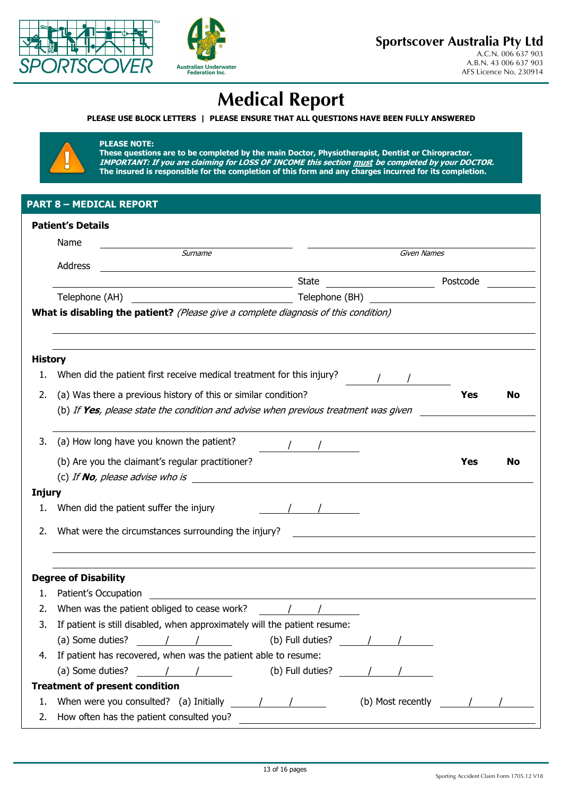



# **Medical Report**

**PLEASE USE BLOCK LETTERS | PLEASE ENSURE THAT ALL QUESTIONS HAVE BEEN FULLY ANSWERED** 



#### **PLEASE NOTE:**

**These questions are to be completed by the main Doctor, Physiotherapist, Dentist or Chiropractor.**  IMPORTANT: If you are claiming for LOSS OF INCOME this section <u>must</u> be completed by your DOCTOR. **The insured is responsible for the completion of this form and any charges incurred for its completion.** 

### **PART 8 – MEDICAL REPORT**

|                | <b>Patient's Details</b>                                                            |                      |            |    |  |  |  |
|----------------|-------------------------------------------------------------------------------------|----------------------|------------|----|--|--|--|
|                | Name                                                                                |                      |            |    |  |  |  |
|                | <b>Surname</b><br>Address                                                           | Given Names          |            |    |  |  |  |
|                | <u> 1989 - Johann Barnett, fransk politiker (d. 1989)</u>                           | Postcode<br>State    |            |    |  |  |  |
|                |                                                                                     |                      |            |    |  |  |  |
|                | What is disabling the patient? (Please give a complete diagnosis of this condition) |                      |            |    |  |  |  |
|                |                                                                                     |                      |            |    |  |  |  |
| <b>History</b> |                                                                                     |                      |            |    |  |  |  |
| 1.             | When did the patient first receive medical treatment for this injury?               |                      |            |    |  |  |  |
| 2.             | (a) Was there a previous history of this or similar condition?                      |                      | <b>Yes</b> | No |  |  |  |
|                | (b) If Yes, please state the condition and advise when previous treatment was given |                      |            |    |  |  |  |
| 3.             | (a) How long have you known the patient?                                            |                      |            |    |  |  |  |
|                | (b) Are you the claimant's regular practitioner?                                    |                      | Yes        | No |  |  |  |
|                | (c) If <b>No</b> , please advise who is $\mathcal{L}$                               |                      |            |    |  |  |  |
| Injury         |                                                                                     |                      |            |    |  |  |  |
| 1.             | When did the patient suffer the injury                                              |                      |            |    |  |  |  |
| 2.             | What were the circumstances surrounding the injury?                                 |                      |            |    |  |  |  |
|                | <b>Degree of Disability</b>                                                         |                      |            |    |  |  |  |
| 1.             | Patient's Occupation<br><u> 1990 - Johann Stoff, amerikansk politiker (d. 1980)</u> |                      |            |    |  |  |  |
| 2.             | When was the patient obliged to cease work? $\sqrt{2}$                              |                      |            |    |  |  |  |
| 3.             | If patient is still disabled, when approximately will the patient resume:           |                      |            |    |  |  |  |
|                | (a) Some duties? $\sqrt{2}$ / $\sqrt{2}$                                            | (b) Full duties? $/$ |            |    |  |  |  |
|                | 4. If patient has recovered, when was the patient able to resume:                   |                      |            |    |  |  |  |
|                | (a) Some duties?<br>$\sqrt{2}$                                                      | (b) Full duties?     |            |    |  |  |  |
|                | <b>Treatment of present condition</b>                                               |                      |            |    |  |  |  |
| 1.             | When were you consulted? (a) Initially $\frac{1}{\sqrt{2}}$                         | (b) Most recently    |            |    |  |  |  |
| 2.             | How often has the patient consulted you?                                            |                      |            |    |  |  |  |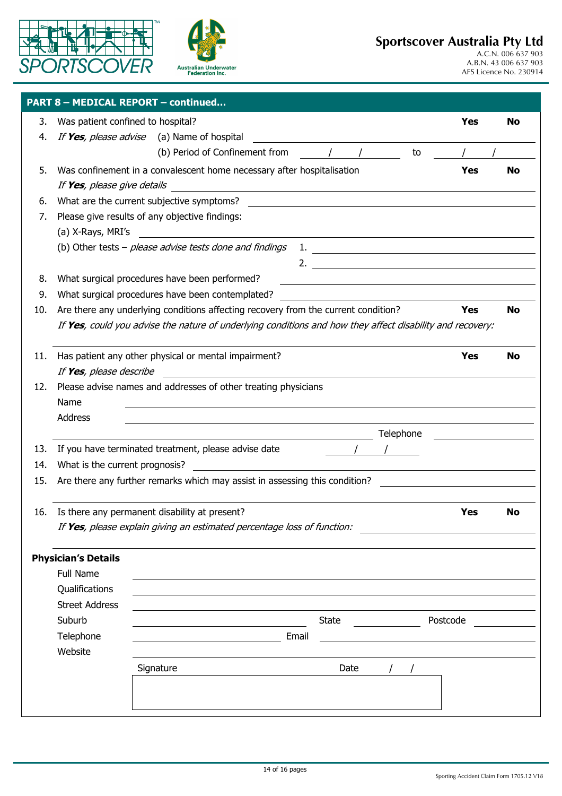



|     | PART 8 - MEDICAL REPORT - continued                                                                       |  |           |                                                                                                                      |       |       |  |                             |            |           |
|-----|-----------------------------------------------------------------------------------------------------------|--|-----------|----------------------------------------------------------------------------------------------------------------------|-------|-------|--|-----------------------------|------------|-----------|
| 3.  | Was patient confined to hospital?                                                                         |  |           |                                                                                                                      |       |       |  |                             | <b>Yes</b> | No        |
| 4.  | If Yes, please advise (a) Name of hospital                                                                |  |           |                                                                                                                      |       |       |  |                             |            |           |
|     |                                                                                                           |  |           | (b) Period of Confinement from                                                                                       |       |       |  | to                          |            |           |
| 5.  | Was confinement in a convalescent home necessary after hospitalisation                                    |  |           |                                                                                                                      |       |       |  |                             | Yes        | <b>No</b> |
|     | If Yes, please give details                                                                               |  |           |                                                                                                                      |       |       |  |                             |            |           |
| 6.  | What are the current subjective symptoms? What are the current subjective symptoms?                       |  |           |                                                                                                                      |       |       |  |                             |            |           |
| 7.  | Please give results of any objective findings:                                                            |  |           |                                                                                                                      |       |       |  |                             |            |           |
|     | (a) X-Rays, MRI's                                                                                         |  |           | <u> 1980 - Jan Samuel Barbara, politik eta politik eta politik eta politik eta politik eta politik eta politik e</u> |       |       |  |                             |            |           |
|     | (b) Other tests - please advise tests done and findings                                                   |  |           |                                                                                                                      |       |       |  |                             |            |           |
|     |                                                                                                           |  |           |                                                                                                                      |       |       |  | 2. $\overline{\phantom{a}}$ |            |           |
| 8.  | What surgical procedures have been performed?                                                             |  |           |                                                                                                                      |       |       |  |                             |            |           |
| 9.  | What surgical procedures have been contemplated?                                                          |  |           |                                                                                                                      |       |       |  |                             |            |           |
| 10. | Are there any underlying conditions affecting recovery from the current condition?                        |  |           |                                                                                                                      |       |       |  |                             | Yes        | <b>No</b> |
|     | If Yes, could you advise the nature of underlying conditions and how they affect disability and recovery: |  |           |                                                                                                                      |       |       |  |                             |            |           |
|     |                                                                                                           |  |           |                                                                                                                      |       |       |  |                             |            |           |
| 11. | Has patient any other physical or mental impairment?                                                      |  |           |                                                                                                                      |       |       |  |                             | Yes        | <b>No</b> |
|     | If Yes, please describe                                                                                   |  |           |                                                                                                                      |       |       |  |                             |            |           |
| 12. | Please advise names and addresses of other treating physicians                                            |  |           |                                                                                                                      |       |       |  |                             |            |           |
|     | Name                                                                                                      |  |           |                                                                                                                      |       |       |  |                             |            |           |
|     | Address                                                                                                   |  |           |                                                                                                                      |       |       |  |                             |            |           |
|     |                                                                                                           |  |           |                                                                                                                      |       |       |  | Telephone                   |            |           |
| 13. | If you have terminated treatment, please advise date                                                      |  |           |                                                                                                                      |       |       |  |                             |            |           |
| 14. | What is the current prognosis?                                                                            |  |           |                                                                                                                      |       |       |  |                             |            |           |
| 15. | Are there any further remarks which may assist in assessing this condition?                               |  |           |                                                                                                                      |       |       |  |                             |            |           |
|     |                                                                                                           |  |           |                                                                                                                      |       |       |  |                             |            |           |
| 16. | Is there any permanent disability at present?                                                             |  |           |                                                                                                                      |       |       |  |                             | <b>Yes</b> | No        |
|     | If Yes, please explain giving an estimated percentage loss of function:                                   |  |           |                                                                                                                      |       |       |  |                             |            |           |
|     |                                                                                                           |  |           |                                                                                                                      |       |       |  |                             |            |           |
|     | <b>Physician's Details</b>                                                                                |  |           |                                                                                                                      |       |       |  |                             |            |           |
|     | <b>Full Name</b>                                                                                          |  |           |                                                                                                                      |       |       |  |                             |            |           |
|     | Qualifications                                                                                            |  |           |                                                                                                                      |       |       |  |                             |            |           |
|     | <b>Street Address</b>                                                                                     |  |           |                                                                                                                      |       |       |  |                             |            |           |
|     | Suburb                                                                                                    |  |           |                                                                                                                      |       | State |  |                             | Postcode   |           |
|     | Telephone                                                                                                 |  |           |                                                                                                                      | Email |       |  |                             |            |           |
|     | Website                                                                                                   |  |           |                                                                                                                      |       |       |  |                             |            |           |
|     |                                                                                                           |  | Signature |                                                                                                                      |       | Date  |  |                             |            |           |
|     |                                                                                                           |  |           |                                                                                                                      |       |       |  |                             |            |           |
|     |                                                                                                           |  |           |                                                                                                                      |       |       |  |                             |            |           |
|     |                                                                                                           |  |           |                                                                                                                      |       |       |  |                             |            |           |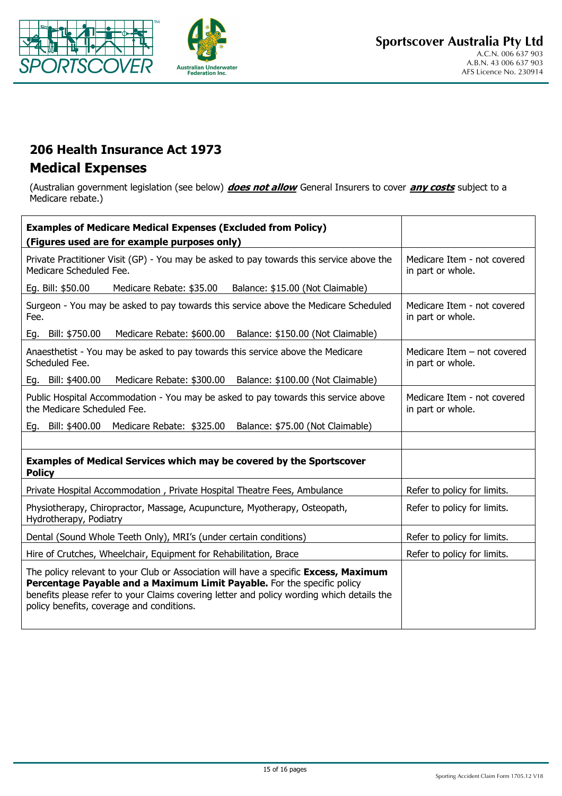



## **206 Health Insurance Act 1973 Medical Expenses**

(Australian government legislation (see below) *does not allow* General Insurers to cover *any costs* subject to a Medicare rebate.)

| <b>Examples of Medicare Medical Expenses (Excluded from Policy)</b>                                                                                                                                                                                                                                       |                                                    |
|-----------------------------------------------------------------------------------------------------------------------------------------------------------------------------------------------------------------------------------------------------------------------------------------------------------|----------------------------------------------------|
| (Figures used are for example purposes only)                                                                                                                                                                                                                                                              |                                                    |
| Private Practitioner Visit (GP) - You may be asked to pay towards this service above the<br>Medicare Scheduled Fee.                                                                                                                                                                                       | Medicare Item - not covered<br>in part or whole.   |
| Eg. Bill: \$50.00<br>Medicare Rebate: \$35.00<br>Balance: \$15.00 (Not Claimable)                                                                                                                                                                                                                         |                                                    |
| Surgeon - You may be asked to pay towards this service above the Medicare Scheduled<br>Fee.                                                                                                                                                                                                               | Medicare Item - not covered<br>in part or whole.   |
| Medicare Rebate: \$600.00 Balance: \$150.00 (Not Claimable)<br>Eg. Bill: \$750.00                                                                                                                                                                                                                         |                                                    |
| Anaesthetist - You may be asked to pay towards this service above the Medicare<br>Scheduled Fee.                                                                                                                                                                                                          | Medicare Item $-$ not covered<br>in part or whole. |
| Medicare Rebate: \$300.00 Balance: \$100.00 (Not Claimable)<br>Eg. Bill: \$400.00                                                                                                                                                                                                                         |                                                    |
| Public Hospital Accommodation - You may be asked to pay towards this service above<br>the Medicare Scheduled Fee.                                                                                                                                                                                         | Medicare Item - not covered<br>in part or whole.   |
| Eg. Bill: \$400.00<br>Medicare Rebate: \$325.00 Balance: \$75.00 (Not Claimable)                                                                                                                                                                                                                          |                                                    |
|                                                                                                                                                                                                                                                                                                           |                                                    |
| Examples of Medical Services which may be covered by the Sportscover<br><b>Policy</b>                                                                                                                                                                                                                     |                                                    |
| Private Hospital Accommodation, Private Hospital Theatre Fees, Ambulance                                                                                                                                                                                                                                  | Refer to policy for limits.                        |
| Physiotherapy, Chiropractor, Massage, Acupuncture, Myotherapy, Osteopath,<br>Hydrotherapy, Podiatry                                                                                                                                                                                                       | Refer to policy for limits.                        |
| Dental (Sound Whole Teeth Only), MRI's (under certain conditions)                                                                                                                                                                                                                                         | Refer to policy for limits.                        |
| Hire of Crutches, Wheelchair, Equipment for Rehabilitation, Brace                                                                                                                                                                                                                                         | Refer to policy for limits.                        |
| The policy relevant to your Club or Association will have a specific Excess, Maximum<br>Percentage Payable and a Maximum Limit Payable. For the specific policy<br>benefits please refer to your Claims covering letter and policy wording which details the<br>policy benefits, coverage and conditions. |                                                    |